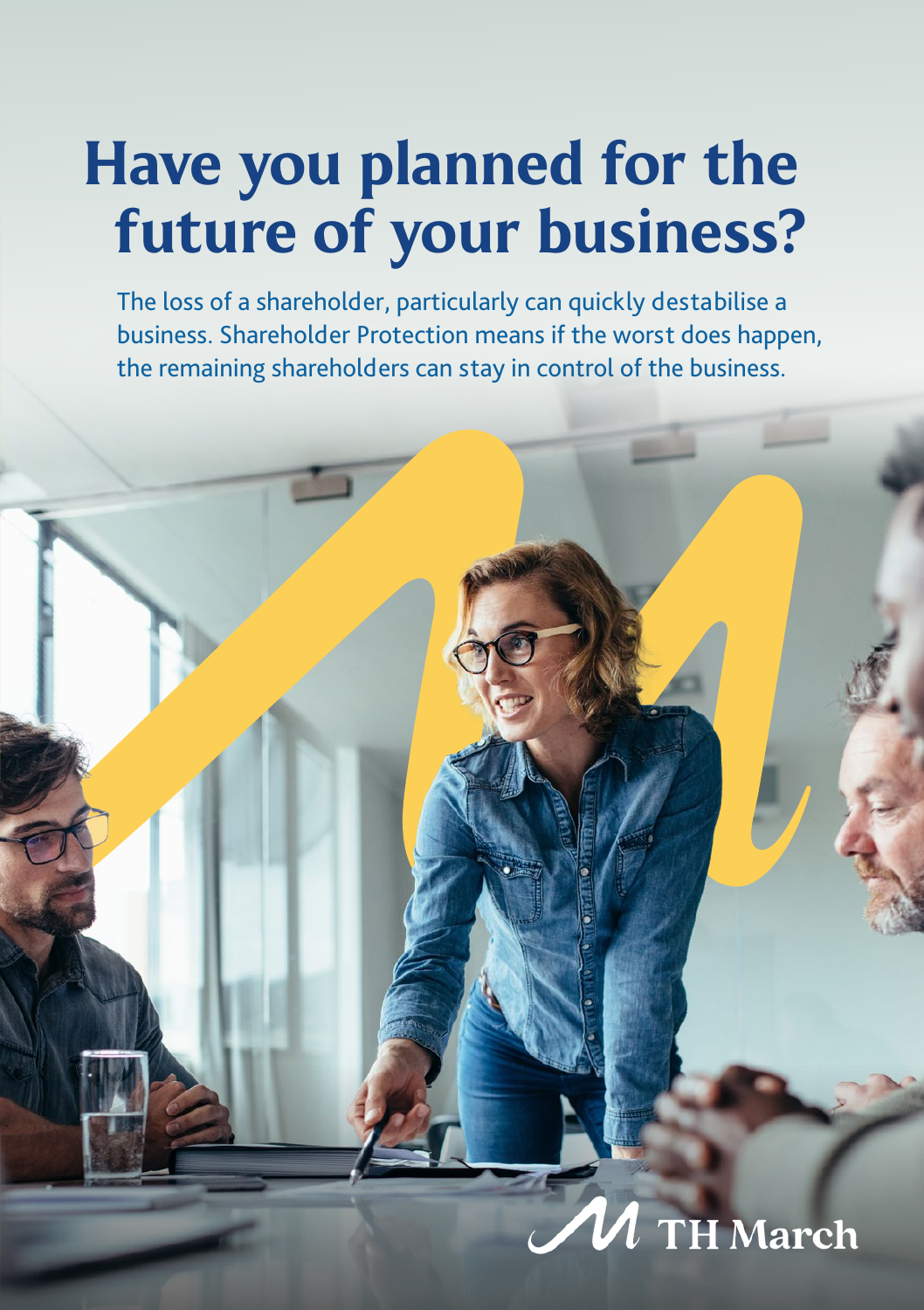## Have you planned for the future of your business?

The loss of a shareholder, particularly can quickly destabilise a business. Shareholder Protection means if the worst does happen, the remaining shareholders can stay in control of the business.

### **TH March**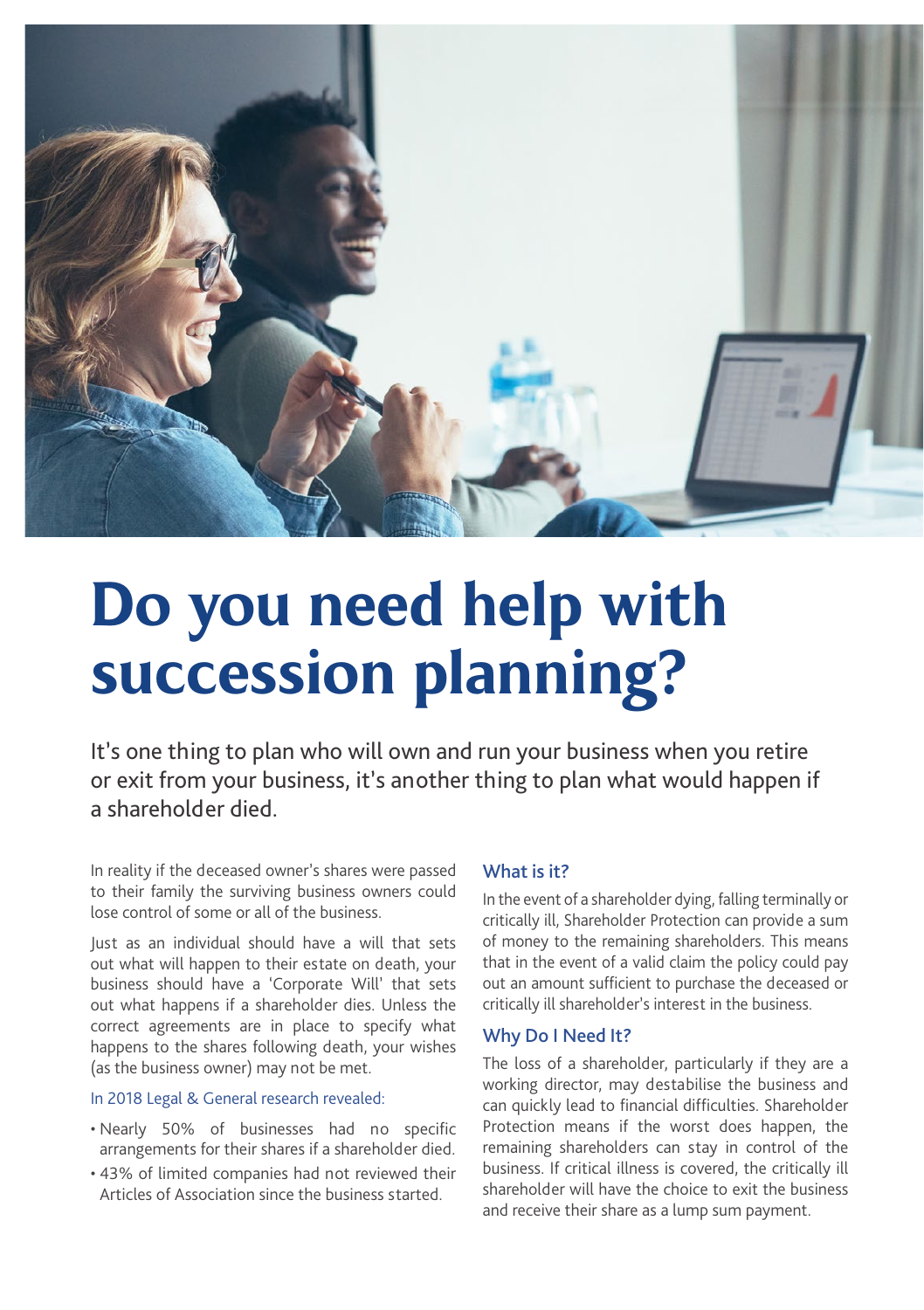

# Do you need help with succession planning?

It's one thing to plan who will own and run your business when you retire or exit from your business, it's another thing to plan what would happen if a shareholder died.

In reality if the deceased owner's shares were passed to their family the surviving business owners could lose control of some or all of the business.

Just as an individual should have a will that sets out what will happen to their estate on death, your business should have a 'Corporate Will' that sets out what happens if a shareholder dies. Unless the correct agreements are in place to specify what happens to the shares following death, your wishes (as the business owner) may not be met.

### In 2018 Legal & General research revealed:

- Nearly 50% of businesses had no specific arrangements for their shares if a shareholder died.
- 43% of limited companies had not reviewed their Articles of Association since the business started.

### What is it?

In the event of a shareholder dying, falling terminally or critically ill, Shareholder Protection can provide a sum of money to the remaining shareholders. This means that in the event of a valid claim the policy could pay out an amount sufficient to purchase the deceased or critically ill shareholder's interest in the business.

### Why Do I Need It?

The loss of a shareholder, particularly if they are a working director, may destabilise the business and can quickly lead to financial difficulties. Shareholder Protection means if the worst does happen, the remaining shareholders can stay in control of the business. If critical illness is covered, the critically ill shareholder will have the choice to exit the business and receive their share as a lump sum payment.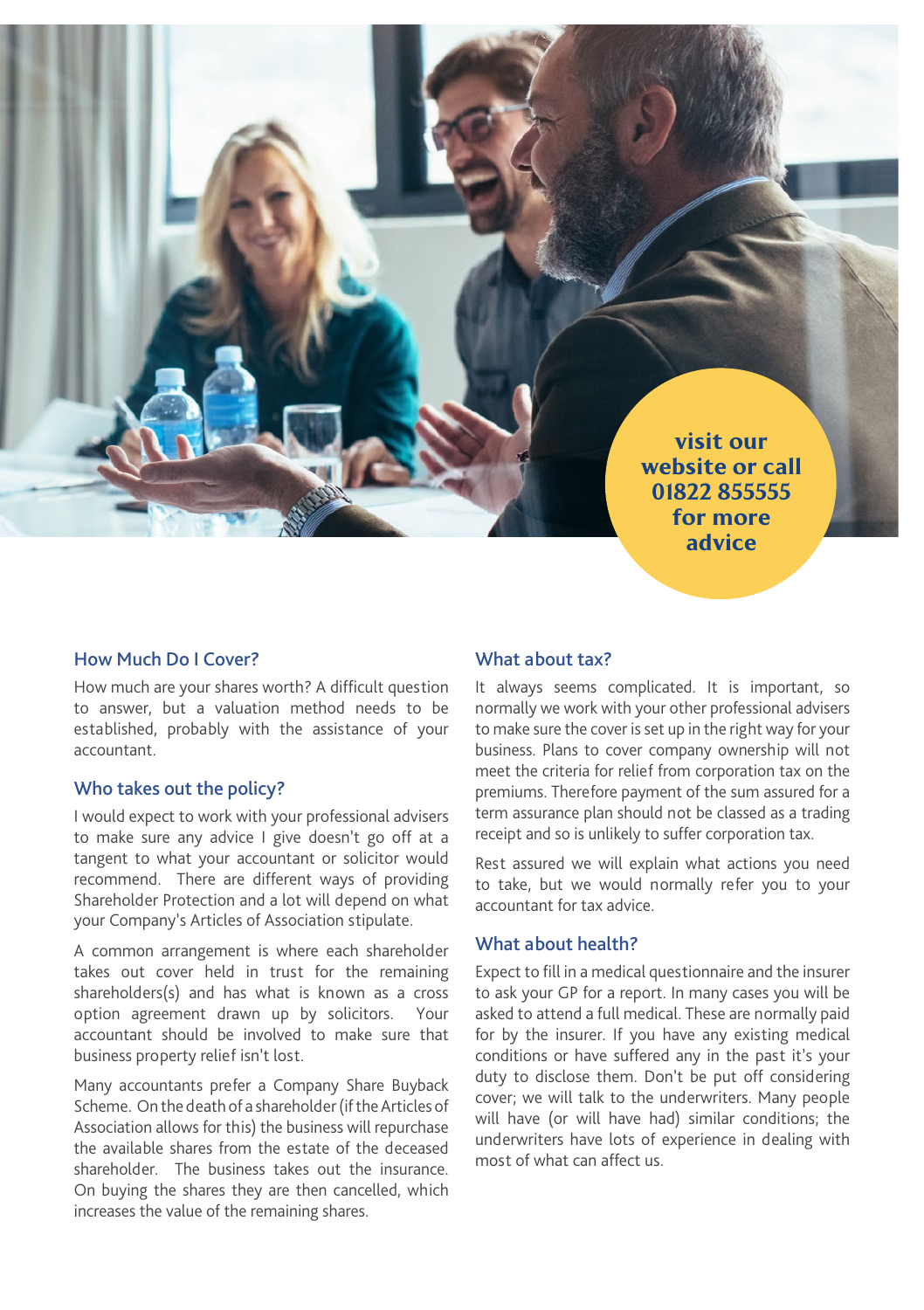

### How Much Do I Cover?

How much are your shares worth? A difficult question to answer, but a valuation method needs to be established, probably with the assistance of your accountant.

### Who takes out the policy?

I would expect to work with your professional advisers to make sure any advice I give doesn't go off at a tangent to what your accountant or solicitor would recommend. There are different ways of providing Shareholder Protection and a lot will depend on what your Company's Articles of Association stipulate.

A common arrangement is where each shareholder takes out cover held in trust for the remaining shareholders(s) and has what is known as a cross option agreement drawn up by solicitors. Your accountant should be involved to make sure that business property relief isn't lost.

Many accountants prefer a Company Share Buyback Scheme. On the death of a shareholder (if the Articles of Association allows for this) the business will repurchase the available shares from the estate of the deceased shareholder. The business takes out the insurance. On buying the shares they are then cancelled, which increases the value of the remaining shares.

### What about tax?

It always seems complicated. It is important, so normally we work with your other professional advisers to make sure the cover is set up in the right way for your business. Plans to cover company ownership will not meet the criteria for relief from corporation tax on the premiums. Therefore payment of the sum assured for a term assurance plan should not be classed as a trading receipt and so is unlikely to suffer corporation tax.

Rest assured we will explain what actions you need to take, but we would normally refer you to your accountant for tax advice.

### What about health?

Expect to fill in a medical questionnaire and the insurer to ask your GP for a report. In many cases you will be asked to attend a full medical. These are normally paid for by the insurer. If you have any existing medical conditions or have suffered any in the past it's your duty to disclose them. Don't be put off considering cover; we will talk to the underwriters. Many people will have (or will have had) similar conditions; the underwriters have lots of experience in dealing with most of what can affect us.